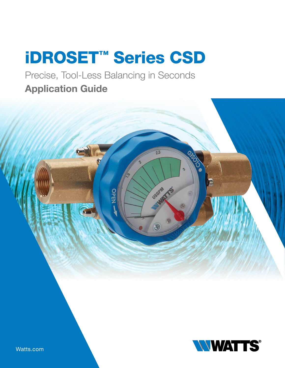# iDROSET™ Series CSD

Precise, Tool-Less Balancing in Seconds Application Guide





Watts.com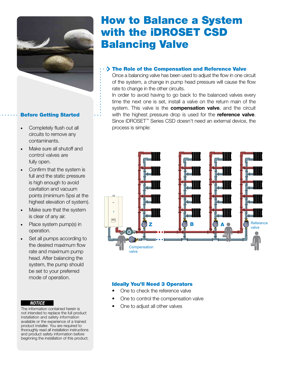

### Before Getting Started

- Completely flush out all circuits to remove any contaminants.
- Make sure all shutoff and control valves are fully open.
- Confirm that the system is full and the static pressure is high enough to avoid cavitation and vacuum points (minimum 5psi at the highest elevation of system).
- Make sure that the system is clear of any air.
- Place system pump(s) in operation.
- Set all pumps according to the desired maximum flow rate and maximum pump head. After balancing the system, the pump should be set to your preferred mode of operation.

#### *NOTICE*

The information contained herein is not intended to replace the full product installation and safety information available or the experience of a trained product installer. You are required to thoroughly read all installation instructions and product safety information before beginning the installation of this product.

## How to Balance a System with the iDROSET CSD Balancing Valve

#### $\cdot$  The Role of the Compensation and Reference Valve

Once a balancing valve has been used to adjust the flow in one circuit of the system, a change in pump head pressure will cause the flow rate to change in the other circuits.

In order to avoid having to go back to the balanced valves every time the next one is set, install a valve on the return main of the system. This valve is the **compensation valve**, and the circuit with the highest pressure drop is used for the **reference valve**. Since iDROSET™ Series CSD doesn't need an external device, the process is simple:



### Ideally You'll Need 3 Operators

- One to check the reference valve
- One to control the compensation valve
- One to adjust all other valves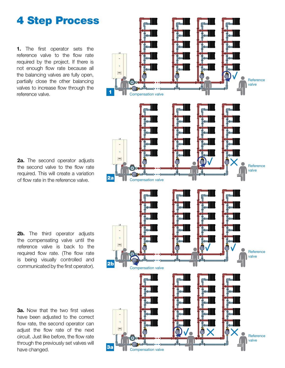### 4 Step Process

1. The first operator sets the reference valve to the flow rate required by the project. If there is not enough flow rate because all the balancing valves are fully open, partially close the other balancing valves to increase flow through the reference valve.

2a. The second operator adjusts the second valve to the flow rate required. This will create a variation of flow rate in the reference valve.

**2b.** The third operator adjusts the compensating valve until the reference valve is back to the required flow rate. (The flow rate is being visually controlled and communicated by the first operator).

**3a.** Now that the two first valves have been adjusted to the correct flow rate, the second operator can adjust the flow rate of the next circuit. Just like before, the flow rate through the previously set valves will have changed.